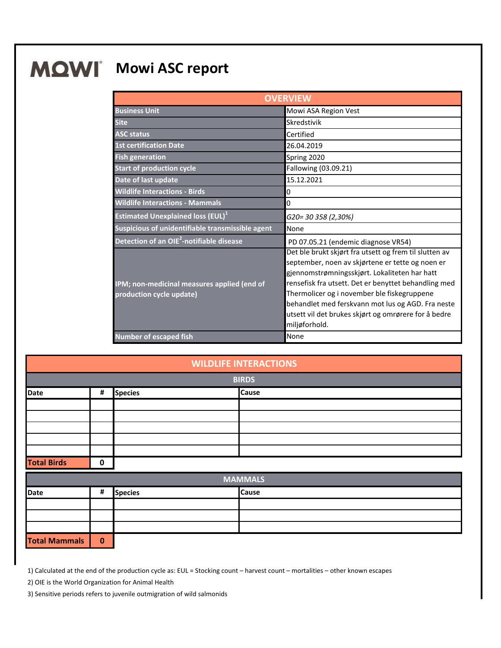## **MQWI** Mowi ASC report

| <b>OVERVIEW</b>                                                         |                                                                                                                                                                                                                                                                                                                                                                                                  |  |
|-------------------------------------------------------------------------|--------------------------------------------------------------------------------------------------------------------------------------------------------------------------------------------------------------------------------------------------------------------------------------------------------------------------------------------------------------------------------------------------|--|
| <b>Business Unit</b>                                                    | Mowi ASA Region Vest                                                                                                                                                                                                                                                                                                                                                                             |  |
| <b>Site</b>                                                             | Skredstivik                                                                                                                                                                                                                                                                                                                                                                                      |  |
| <b>ASC status</b>                                                       | Certified                                                                                                                                                                                                                                                                                                                                                                                        |  |
| <b>1st certification Date</b>                                           | 26.04.2019                                                                                                                                                                                                                                                                                                                                                                                       |  |
| <b>Fish generation</b>                                                  | Spring 2020                                                                                                                                                                                                                                                                                                                                                                                      |  |
| <b>Start of production cycle</b>                                        | Fallowing (03.09.21)                                                                                                                                                                                                                                                                                                                                                                             |  |
| Date of last update                                                     | 15.12.2021                                                                                                                                                                                                                                                                                                                                                                                       |  |
| <b>Wildlife Interactions - Birds</b>                                    | 0                                                                                                                                                                                                                                                                                                                                                                                                |  |
| <b>Wildlife Interactions - Mammals</b>                                  | 0                                                                                                                                                                                                                                                                                                                                                                                                |  |
| <b>Estimated Unexplained loss (EUL)</b> <sup>1</sup>                    | G20= 30 358 (2,30%)                                                                                                                                                                                                                                                                                                                                                                              |  |
| Suspicious of unidentifiable transmissible agent                        | None                                                                                                                                                                                                                                                                                                                                                                                             |  |
| Detection of an OIE <sup>2</sup> -notifiable disease                    | PD 07.05.21 (endemic diagnose VR54)                                                                                                                                                                                                                                                                                                                                                              |  |
| IPM; non-medicinal measures applied (end of<br>production cycle update) | Det ble brukt skjørt fra utsett og frem til slutten av<br>september, noen av skjørtene er tette og noen er<br>gjennomstrømningsskjørt. Lokaliteten har hatt<br>rensefisk fra utsett. Det er benyttet behandling med<br>Thermolicer og i november ble fiskegruppene<br>behandlet med ferskvann mot lus og AGD. Fra neste<br>utsett vil det brukes skjørt og omrørere for å bedre<br>miljøforhold. |  |
| <b>Number of escaped fish</b>                                           | None                                                                                                                                                                                                                                                                                                                                                                                             |  |

| <b>WILDLIFE INTERACTIONS</b> |   |                |  |              |
|------------------------------|---|----------------|--|--------------|
| <b>BIRDS</b>                 |   |                |  |              |
| Date                         | # | <b>Species</b> |  | <b>Cause</b> |
|                              |   |                |  |              |
|                              |   |                |  |              |
|                              |   |                |  |              |
|                              |   |                |  |              |
|                              |   |                |  |              |
| <b>Total Birds</b>           | 0 |                |  |              |

| <b>MAMMALS</b>       |             |                |              |
|----------------------|-------------|----------------|--------------|
| Date                 | #           | <b>Species</b> | <b>Cause</b> |
|                      |             |                |              |
|                      |             |                |              |
|                      |             |                |              |
| <b>Total Mammals</b> | $\mathbf 0$ |                |              |

1) Calculated at the end of the production cycle as: EUL = Stocking count – harvest count – mortalities – other known escapes

2) OIE is the World Organization for Animal Health

3) Sensitive periods refers to juvenile outmigration of wild salmonids